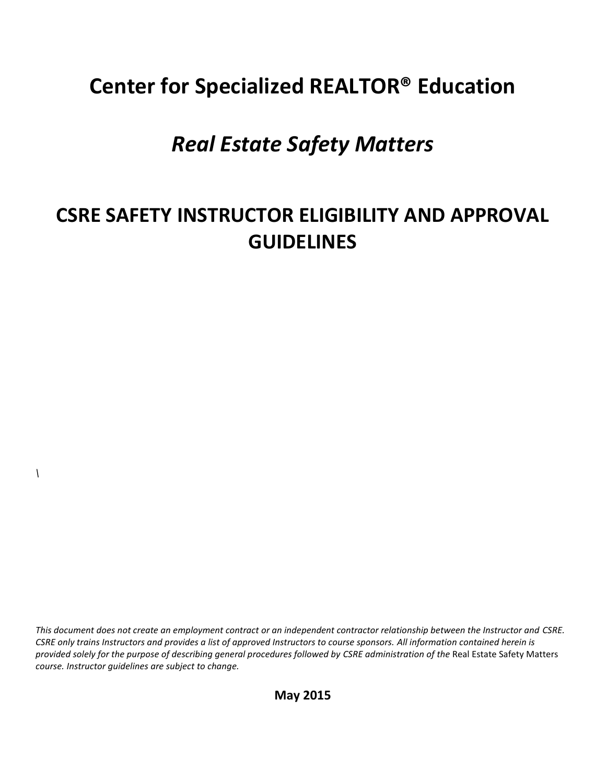# **Center for Specialized REALTOR® Education**

## *Real Estate Safety Matters*

## **CSRE SAFETY INSTRUCTOR ELIGIBILITY AND APPROVAL GUIDELINES**

*This document does not create an employment contract or an independent contractor relationship between the Instructor and CSRE. CSRE only trains Instructors and provides a list of approved Instructors to course sponsors. All information contained herein is provided solely for the purpose of describing general procedures followed by CSRE administration of the* Real Estate Safety Matters *course. Instructor guidelines are subject to change.*

*\*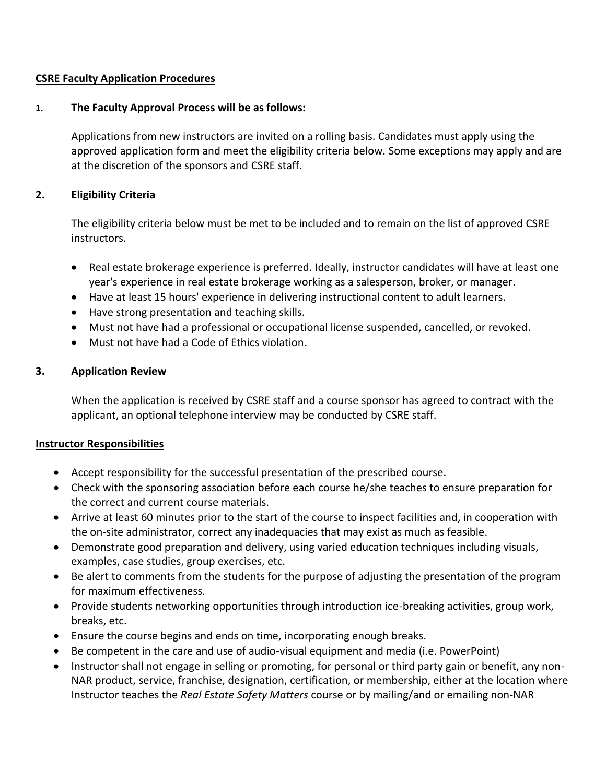#### **CSRE Faculty Application Procedures**

### **1. The Faculty Approval Process will be as follows:**

Applications from new instructors are invited on a rolling basis. Candidates must apply using the approved application form and meet the eligibility criteria below. Some exceptions may apply and are at the discretion of the sponsors and CSRE staff.

## **2. Eligibility Criteria**

The eligibility criteria below must be met to be included and to remain on the list of approved CSRE instructors.

- Real estate brokerage experience is preferred. Ideally, instructor candidates will have at least one year's experience in real estate brokerage working as a salesperson, broker, or manager.
- Have at least 15 hours' experience in delivering instructional content to adult learners.
- Have strong presentation and teaching skills.
- Must not have had a professional or occupational license suspended, cancelled, or revoked.
- Must not have had a Code of Ethics violation.

## **3. Application Review**

When the application is received by CSRE staff and a course sponsor has agreed to contract with the applicant, an optional telephone interview may be conducted by CSRE staff.

## **Instructor Responsibilities**

- Accept responsibility for the successful presentation of the prescribed course.
- Check with the sponsoring association before each course he/she teaches to ensure preparation for the correct and current course materials.
- Arrive at least 60 minutes prior to the start of the course to inspect facilities and, in cooperation with the on-site administrator, correct any inadequacies that may exist as much as feasible.
- Demonstrate good preparation and delivery, using varied education techniques including visuals, examples, case studies, group exercises, etc.
- Be alert to comments from the students for the purpose of adjusting the presentation of the program for maximum effectiveness.
- Provide students networking opportunities through introduction ice-breaking activities, group work, breaks, etc.
- Ensure the course begins and ends on time, incorporating enough breaks.
- Be competent in the care and use of audio-visual equipment and media (i.e. PowerPoint)
- Instructor shall not engage in selling or promoting, for personal or third party gain or benefit, any non-NAR product, service, franchise, designation, certification, or membership, either at the location where Instructor teaches the *Real Estate Safety Matters* course or by mailing/and or emailing non-NAR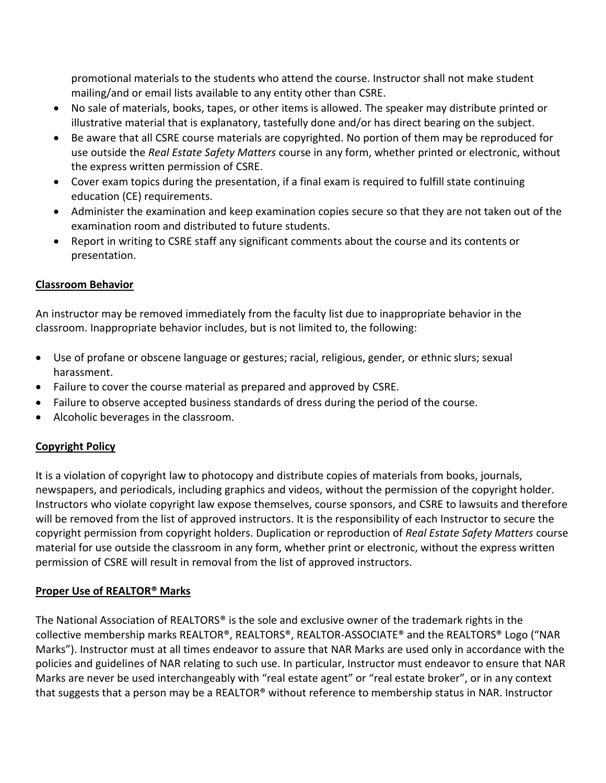promotional materials to the students who attend the course. Instructor shall not make student mailing/and or email lists available to any entity other than CSRE.

- No sale of materials, books, tapes, or other items is allowed. The speaker may distribute printed or illustrative material that is explanatory, tastefully done and/or has direct bearing on the subject.
- Be aware that all CSRE course materials are copyrighted. No portion of them may be reproduced for use outside the *Real Estate Safety Matters* course in any form, whether printed or electronic, without the express written permission of CSRE.
- Cover exam topics during the presentation, if a final exam is required to fulfill state continuing education (CE) requirements.
- Administer the examination and keep examination copies secure so that they are not taken out of the examination room and distributed to future students.
- Report in writing to CSRE staff any significant comments about the course and its contents or presentation.

#### **Classroom Behavior**

An instructor may be removed immediately from the faculty list due to inappropriate behavior in the classroom. Inappropriate behavior includes, but is not limited to, the following:

- Use of profane or obscene language or gestures; racial, religious, gender, or ethnic slurs; sexual harassment.
- Failure to cover the course material as prepared and approved by CSRE.
- Failure to observe accepted business standards of dress during the period of the course.
- Alcoholic beverages in the classroom.

### **Copyright Policy**

It is a violation of copyright law to photocopy and distribute copies of materials from books, journals, newspapers, and periodicals, including graphics and videos, without the permission of the copyright holder. Instructors who violate copyright law expose themselves, course sponsors, and CSRE to lawsuits and therefore will be removed from the list of approved instructors. It is the responsibility of each Instructor to secure the copyright permission from copyright holders. Duplication or reproduction of *Real Estate Safety Matters* course material for use outside the classroom in any form, whether print or electronic, without the express written permission of CSRE will result in removal from the list of approved instructors.

#### **Proper Use of REALTOR® Marks**

The National Association of REALTORS® is the sole and exclusive owner of the trademark rights in the collective membership marks REALTOR®, REALTORS®, REALTOR-ASSOCIATE® and the REALTORS® Logo ("NAR Marks"). Instructor must at all times endeavor to assure that NAR Marks are used only in accordance with the policies and guidelines of NAR relating to such use. In particular, Instructor must endeavor to ensure that NAR Marks are never be used interchangeably with "real estate agent" or "real estate broker", or in any context that suggests that a person may be a REALTOR® without reference to membership status in NAR. Instructor